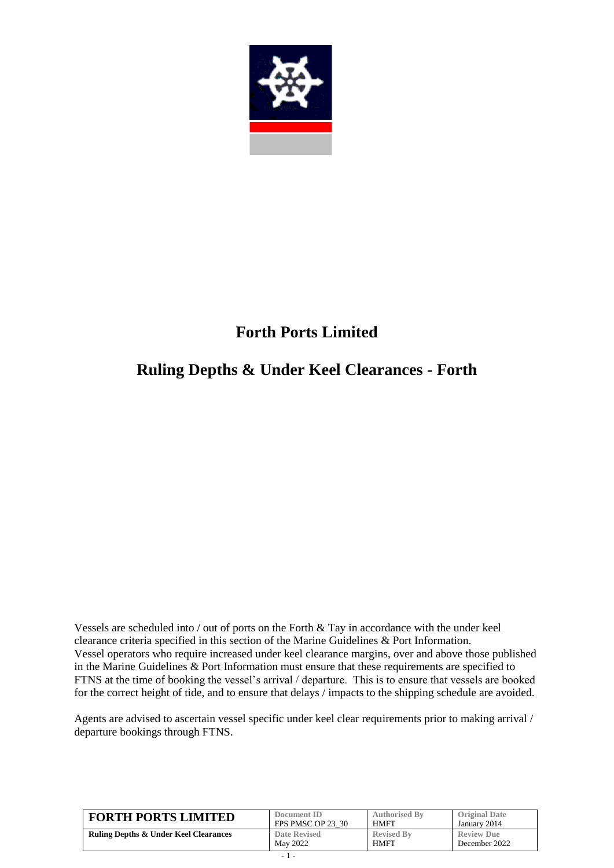

# **Forth Ports Limited**

## **Ruling Depths & Under Keel Clearances - Forth**

Vessels are scheduled into / out of ports on the Forth & Tay in accordance with the under keel clearance criteria specified in this section of the Marine Guidelines & Port Information. Vessel operators who require increased under keel clearance margins, over and above those published in the Marine Guidelines & Port Information must ensure that these requirements are specified to FTNS at the time of booking the vessel's arrival / departure. This is to ensure that vessels are booked for the correct height of tide, and to ensure that delays / impacts to the shipping schedule are avoided.

Agents are advised to ascertain vessel specific under keel clear requirements prior to making arrival / departure bookings through FTNS.

| <b>FORTH PORTS LIMITED</b>                       | Document ID       | <b>Authorised By</b> | <b>Original Date</b> |
|--------------------------------------------------|-------------------|----------------------|----------------------|
|                                                  | FPS PMSC OP 23 30 | HMFT                 | January 2014         |
| <b>Ruling Depths &amp; Under Keel Clearances</b> | Date Revised      | <b>Revised By</b>    | <b>Review Due</b>    |
|                                                  | May 2022          | HMFT                 | December 2022        |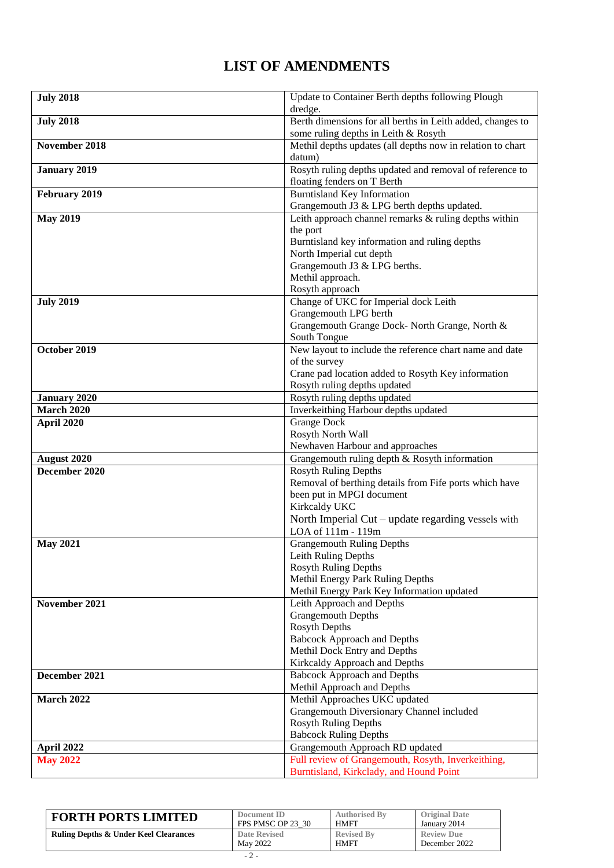### **LIST OF AMENDMENTS**

| <b>July 2018</b>    | Update to Container Berth depths following Plough                                   |
|---------------------|-------------------------------------------------------------------------------------|
|                     | dredge.                                                                             |
| <b>July 2018</b>    | Berth dimensions for all berths in Leith added, changes to                          |
|                     | some ruling depths in Leith & Rosyth                                                |
| November 2018       | Methil depths updates (all depths now in relation to chart                          |
|                     | datum)                                                                              |
| <b>January 2019</b> | Rosyth ruling depths updated and removal of reference to                            |
|                     | floating fenders on T Berth                                                         |
| February 2019       | <b>Burntisland Key Information</b>                                                  |
|                     | Grangemouth J3 & LPG berth depths updated.                                          |
| <b>May 2019</b>     | Leith approach channel remarks & ruling depths within                               |
|                     | the port                                                                            |
|                     | Burntisland key information and ruling depths                                       |
|                     | North Imperial cut depth                                                            |
|                     | Grangemouth J3 & LPG berths.                                                        |
|                     | Methil approach.                                                                    |
|                     | Rosyth approach                                                                     |
| <b>July 2019</b>    | Change of UKC for Imperial dock Leith                                               |
|                     | Grangemouth LPG berth                                                               |
|                     | Grangemouth Grange Dock- North Grange, North &                                      |
|                     | South Tongue                                                                        |
| October 2019        | New layout to include the reference chart name and date                             |
|                     | of the survey                                                                       |
|                     | Crane pad location added to Rosyth Key information                                  |
|                     | Rosyth ruling depths updated                                                        |
| <b>January 2020</b> | Rosyth ruling depths updated                                                        |
| <b>March 2020</b>   | Inverkeithing Harbour depths updated                                                |
| April 2020          | <b>Grange Dock</b>                                                                  |
|                     | Rosyth North Wall                                                                   |
|                     | Newhaven Harbour and approaches                                                     |
| August 2020         | Grangemouth ruling depth & Rosyth information                                       |
| December 2020       | <b>Rosyth Ruling Depths</b>                                                         |
|                     | Removal of berthing details from Fife ports which have<br>been put in MPGI document |
|                     | Kirkcaldy UKC                                                                       |
|                     | North Imperial Cut – update regarding vessels with                                  |
|                     | LOA of 111m - 119m                                                                  |
| <b>May 2021</b>     | <b>Grangemouth Ruling Depths</b>                                                    |
|                     | Leith Ruling Depths                                                                 |
|                     | <b>Rosyth Ruling Depths</b>                                                         |
|                     | Methil Energy Park Ruling Depths                                                    |
|                     | Methil Energy Park Key Information updated                                          |
| November 2021       | Leith Approach and Depths                                                           |
|                     | <b>Grangemouth Depths</b>                                                           |
|                     | <b>Rosyth Depths</b>                                                                |
|                     | <b>Babcock Approach and Depths</b>                                                  |
|                     | Methil Dock Entry and Depths                                                        |
|                     | Kirkcaldy Approach and Depths                                                       |
| December 2021       | <b>Babcock Approach and Depths</b>                                                  |
|                     | Methil Approach and Depths                                                          |
| <b>March 2022</b>   | Methil Approaches UKC updated                                                       |
|                     | Grangemouth Diversionary Channel included                                           |
|                     | <b>Rosyth Ruling Depths</b>                                                         |
|                     | <b>Babcock Ruling Depths</b>                                                        |
| April 2022          | Grangemouth Approach RD updated                                                     |
| <b>May 2022</b>     | Full review of Grangemouth, Rosyth, Inverkeithing,                                  |
|                     | Burntisland, Kirkclady, and Hound Point                                             |

| <b>FORTH PORTS LIMITED</b>                       | Document ID       | <b>Authorised By</b> | <b>Original Date</b> |
|--------------------------------------------------|-------------------|----------------------|----------------------|
|                                                  | FPS PMSC OP 23 30 | <b>HMFT</b>          | January 2014         |
| <b>Ruling Depths &amp; Under Keel Clearances</b> | Date Revised      | <b>Revised By</b>    | <b>Review Due</b>    |
|                                                  | May 2022          | <b>HMFT</b>          | December 2022        |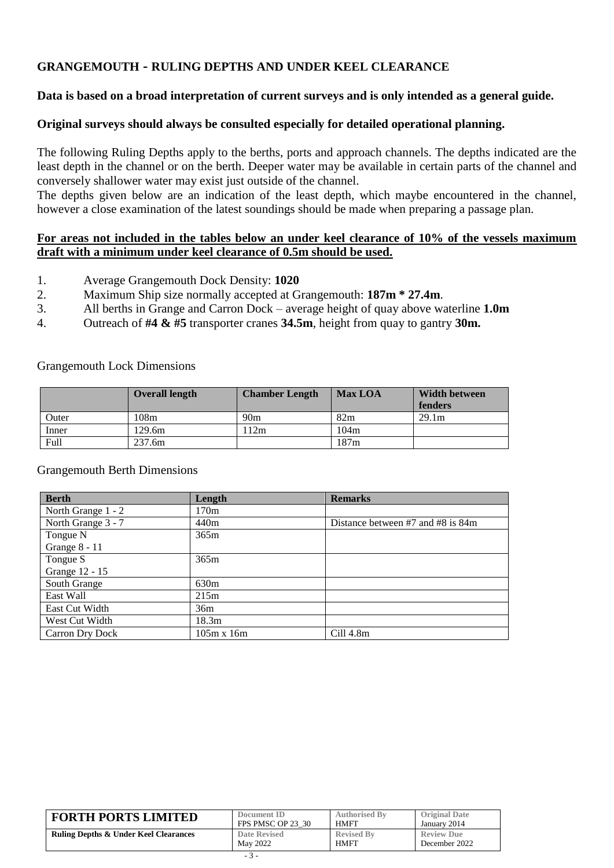### **GRANGEMOUTH - RULING DEPTHS AND UNDER KEEL CLEARANCE**

#### **Data is based on a broad interpretation of current surveys and is only intended as a general guide.**

#### **Original surveys should always be consulted especially for detailed operational planning.**

The following Ruling Depths apply to the berths, ports and approach channels. The depths indicated are the least depth in the channel or on the berth. Deeper water may be available in certain parts of the channel and conversely shallower water may exist just outside of the channel.

The depths given below are an indication of the least depth, which maybe encountered in the channel, however a close examination of the latest soundings should be made when preparing a passage plan.

#### **For areas not included in the tables below an under keel clearance of 10% of the vessels maximum draft with a minimum under keel clearance of 0.5m should be used.**

- 1. Average Grangemouth Dock Density: **1020**
- 2. Maximum Ship size normally accepted at Grangemouth: **187m \* 27.4m**.
- 3. All berths in Grange and Carron Dock average height of quay above waterline **1.0m**
- 4. Outreach of **#4 & #5** transporter cranes **34.5m**, height from quay to gantry **30m.**

#### Grangemouth Lock Dimensions

|       | <b>Overall length</b> | <b>Chamber Length</b> | <b>Max LOA</b> | <b>Width between</b><br>fenders |
|-------|-----------------------|-----------------------|----------------|---------------------------------|
| Outer | 108m                  | 90m                   | 82m            | 29.1m                           |
| Inner | 129.6m                | 112m                  | 104m           |                                 |
| Full  | 237.6m                |                       | 187m           |                                 |

#### Grangemouth Berth Dimensions

| <b>Berth</b>           | Length            | <b>Remarks</b>                    |
|------------------------|-------------------|-----------------------------------|
| North Grange 1 - 2     | 170m              |                                   |
| North Grange 3 - 7     | 440m              | Distance between #7 and #8 is 84m |
| Tongue N               | 365m              |                                   |
| Grange 8 - 11          |                   |                                   |
| Tongue S               | 365m              |                                   |
| Grange 12 - 15         |                   |                                   |
| South Grange           | 630m              |                                   |
| East Wall              | 215m              |                                   |
| East Cut Width         | 36m               |                                   |
| West Cut Width         | 18.3 <sub>m</sub> |                                   |
| <b>Carron Dry Dock</b> | $105m \times 16m$ | Cill 4.8m                         |

| <b>FORTH PORTS LIMITED</b>                       | Document ID         | <b>Authorised By</b> | <b>Original Date</b> |
|--------------------------------------------------|---------------------|----------------------|----------------------|
|                                                  | FPS PMSC OP 23 30   | <b>HMFT</b>          | January 2014         |
| <b>Ruling Depths &amp; Under Keel Clearances</b> | <b>Date Revised</b> | <b>Revised By</b>    | <b>Review Due</b>    |
|                                                  | May 2022            | <b>HMFT</b>          | December 2022        |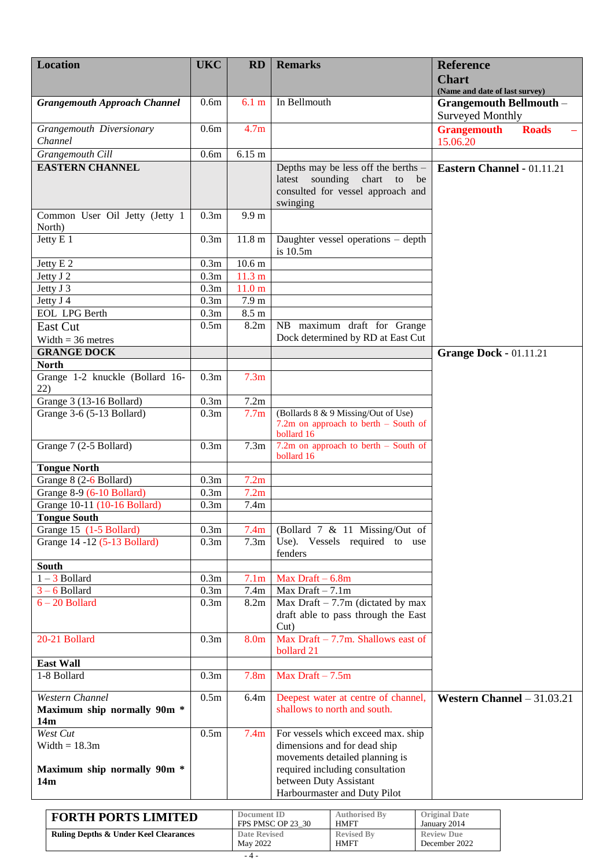| <b>Location</b>                     | <b>UKC</b>       | RD                       | <b>Remarks</b>                                                                | <b>Reference</b>                   |
|-------------------------------------|------------------|--------------------------|-------------------------------------------------------------------------------|------------------------------------|
|                                     |                  |                          |                                                                               | <b>Chart</b>                       |
|                                     |                  |                          |                                                                               | (Name and date of last survey)     |
| <b>Grangemouth Approach Channel</b> | 0.6 <sub>m</sub> | 6.1 m                    | In Bellmouth                                                                  | <b>Grangemouth Bellmouth -</b>     |
|                                     |                  |                          |                                                                               | <b>Surveyed Monthly</b>            |
| Grangemouth Diversionary<br>Channel | 0.6 <sub>m</sub> | 4.7 <sub>m</sub>         |                                                                               | <b>Grangemouth</b><br><b>Roads</b> |
| Grangemouth Cill                    | 0.6 <sub>m</sub> | 6.15 m                   |                                                                               | 15.06.20                           |
| <b>EASTERN CHANNEL</b>              |                  |                          | Depths may be less off the berths -                                           | Eastern Channel - 01.11.21         |
|                                     |                  |                          | sounding<br>chart<br>latest<br>$\overline{\mathbf{t}}$<br>be                  |                                    |
|                                     |                  |                          | consulted for vessel approach and                                             |                                    |
|                                     |                  |                          | swinging                                                                      |                                    |
| Common User Oil Jetty (Jetty 1      | 0.3 <sub>m</sub> | 9.9 <sub>m</sub>         |                                                                               |                                    |
| North)                              |                  |                          |                                                                               |                                    |
| Jetty E 1                           | 0.3m             | 11.8 <sub>m</sub>        | Daughter vessel operations - depth                                            |                                    |
|                                     | 0.3m             | 10.6 <sub>m</sub>        | is 10.5m                                                                      |                                    |
| Jetty E 2<br>Jetty J 2              | 0.3m             | 11.3 m                   |                                                                               |                                    |
| Jetty J 3                           | 0.3m             | 11.0 <sub>m</sub>        |                                                                               |                                    |
| Jetty J 4                           | 0.3m             | 7.9 <sub>m</sub>         |                                                                               |                                    |
| <b>EOL LPG Berth</b>                | 0.3m             | $8.5 \text{ m}$          |                                                                               |                                    |
| East Cut                            | 0.5m             | 8.2m                     | NB maximum draft for Grange                                                   |                                    |
| Width $=$ 36 metres                 |                  |                          | Dock determined by RD at East Cut                                             |                                    |
| <b>GRANGE DOCK</b>                  |                  |                          |                                                                               | <b>Grange Dock - 01.11.21</b>      |
| <b>North</b>                        |                  |                          |                                                                               |                                    |
| Grange 1-2 knuckle (Bollard 16-     | 0.3m             | 7.3 <sub>m</sub>         |                                                                               |                                    |
| 22)                                 |                  |                          |                                                                               |                                    |
| Grange 3 (13-16 Bollard)            | 0.3m             | 7.2m                     |                                                                               |                                    |
| Grange 3-6 (5-13 Bollard)           | 0.3m             | 7.7 <sub>m</sub>         | (Bollards 8 & 9 Missing/Out of Use)<br>7.2m on approach to berth $-$ South of |                                    |
|                                     |                  |                          | bollard 16                                                                    |                                    |
| Grange 7 (2-5 Bollard)              | 0.3 <sub>m</sub> | 7.3 <sub>m</sub>         | 7.2m on approach to berth $-$ South of                                        |                                    |
| <b>Tongue North</b>                 |                  |                          | bollard 16                                                                    |                                    |
| Grange 8 (2-6 Bollard)              | 0.3m             | 7.2m                     |                                                                               |                                    |
| Grange 8-9 (6-10 Bollard)           | 0.3m             | 7.2m                     |                                                                               |                                    |
| Grange 10-11 (10-16 Bollard)        | 0.3m             | 7.4m                     |                                                                               |                                    |
| <b>Tongue South</b>                 |                  |                          |                                                                               |                                    |
| Grange 15 (1-5 Bollard)             | 0.3m             | 7.4m                     | (Bollard 7 & 11 Missing/Out of                                                |                                    |
| Grange 14 -12 (5-13 Bollard)        | 0.3m             | 7.3 <sub>m</sub>         | Use). Vessels required to use                                                 |                                    |
|                                     |                  |                          | fenders                                                                       |                                    |
| South<br>$1 - 3$ Bollard            |                  |                          | Max Draft $-6.8m$                                                             |                                    |
| $3 - 6$ Bollard                     | 0.3m<br>0.3m     | 7.1 <sub>m</sub><br>7.4m | Max Draft $-7.1m$                                                             |                                    |
| $6 - 20$ Bollard                    | 0.3m             | 8.2m                     | Max Draft $-7.7m$ (dictated by max                                            |                                    |
|                                     |                  |                          | draft able to pass through the East                                           |                                    |
|                                     |                  |                          | $Cut$ )                                                                       |                                    |
| 20-21 Bollard                       | 0.3m             | 8.0 <sub>m</sub>         | Max Draft $-7.7$ m. Shallows east of                                          |                                    |
|                                     |                  |                          | bollard 21                                                                    |                                    |
| <b>East Wall</b>                    |                  |                          |                                                                               |                                    |
| 1-8 Bollard                         | 0.3m             | 7.8 <sub>m</sub>         | Max Draft $-7.5m$                                                             |                                    |
| Western Channel                     | 0.5m             | 6.4m                     | Deepest water at centre of channel,                                           | Western Channel $-31.03.21$        |
| Maximum ship normally 90m *         |                  |                          | shallows to north and south.                                                  |                                    |
| 14m                                 |                  |                          |                                                                               |                                    |
| West Cut                            | 0.5m             | 7.4 <sub>m</sub>         | For vessels which exceed max. ship                                            |                                    |
| Width $= 18.3$ m                    |                  |                          | dimensions and for dead ship                                                  |                                    |
| Maximum ship normally 90m *         |                  |                          | movements detailed planning is<br>required including consultation             |                                    |
| 14m                                 |                  |                          | between Duty Assistant                                                        |                                    |
|                                     |                  |                          | Harbourmaster and Duty Pilot                                                  |                                    |

| <b>FORTH PORTS LIMITED</b>                       | Document ID       | <b>Authorised By</b> | <b>Original Date</b> |
|--------------------------------------------------|-------------------|----------------------|----------------------|
|                                                  | FPS PMSC OP 23 30 | <b>HMFT</b>          | January 2014         |
| <b>Ruling Depths &amp; Under Keel Clearances</b> | Date Revised      | <b>Revised By</b>    | <b>Review Due</b>    |
|                                                  | May 2022          | <b>HMFT</b>          | December 2022        |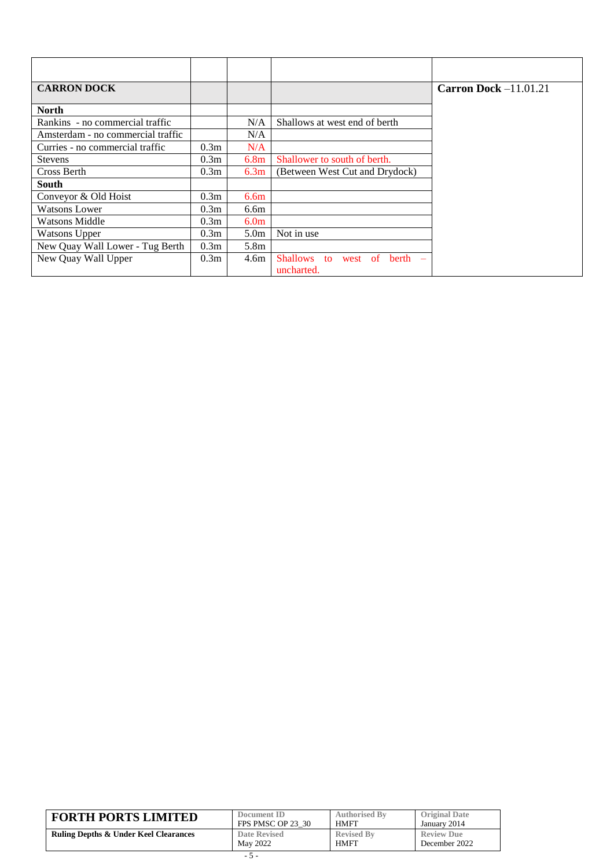| <b>CARRON DOCK</b>                |                  |                  |                                | Carron Dock $-11.01.21$ |
|-----------------------------------|------------------|------------------|--------------------------------|-------------------------|
|                                   |                  |                  |                                |                         |
| <b>North</b>                      |                  |                  |                                |                         |
| Rankins - no commercial traffic   |                  | N/A              | Shallows at west end of berth  |                         |
| Amsterdam - no commercial traffic |                  | N/A              |                                |                         |
| Curries - no commercial traffic   | 0.3 <sub>m</sub> | N/A              |                                |                         |
| <b>Stevens</b>                    | 0.3 <sub>m</sub> | 6.8 <sub>m</sub> | Shallower to south of berth.   |                         |
| Cross Berth                       | 0.3 <sub>m</sub> | 6.3 <sub>m</sub> | (Between West Cut and Drydock) |                         |
| <b>South</b>                      |                  |                  |                                |                         |
| Conveyor & Old Hoist              | 0.3 <sub>m</sub> | 6.6 <sub>m</sub> |                                |                         |
| <b>Watsons Lower</b>              | 0.3 <sub>m</sub> | 6.6m             |                                |                         |
| <b>Watsons Middle</b>             | 0.3 <sub>m</sub> | 6.0 <sub>m</sub> |                                |                         |
| <b>Watsons Upper</b>              | 0.3 <sub>m</sub> | 5.0 <sub>m</sub> | Not in use                     |                         |
| New Quay Wall Lower - Tug Berth   | 0.3 <sub>m</sub> | 5.8m             |                                |                         |
| New Quay Wall Upper               | 0.3 <sub>m</sub> | 4.6m             | Shallows to<br>west of berth   |                         |
|                                   |                  |                  | uncharted.                     |                         |

| <b>FORTH PORTS LIMITED</b>                       | Document ID       | <b>Authorised By</b> | <b>Original Date</b> |
|--------------------------------------------------|-------------------|----------------------|----------------------|
|                                                  | FPS PMSC OP 23 30 | HMFT                 | January 2014         |
| <b>Ruling Depths &amp; Under Keel Clearances</b> | Date Revised      | <b>Revised By</b>    | <b>Review Due</b>    |
|                                                  | May 2022          | HMFT                 | December 2022        |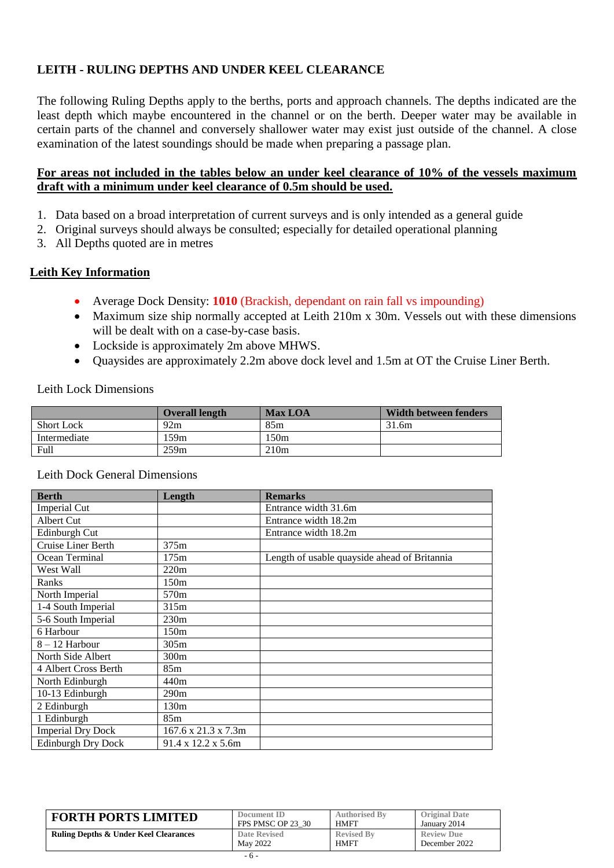### **LEITH - RULING DEPTHS AND UNDER KEEL CLEARANCE**

The following Ruling Depths apply to the berths, ports and approach channels. The depths indicated are the least depth which maybe encountered in the channel or on the berth. Deeper water may be available in certain parts of the channel and conversely shallower water may exist just outside of the channel. A close examination of the latest soundings should be made when preparing a passage plan.

### **For areas not included in the tables below an under keel clearance of 10% of the vessels maximum draft with a minimum under keel clearance of 0.5m should be used.**

- 1. Data based on a broad interpretation of current surveys and is only intended as a general guide
- 2. Original surveys should always be consulted; especially for detailed operational planning
- 3. All Depths quoted are in metres

#### **Leith Key Information**

- Average Dock Density: **1010** (Brackish, dependant on rain fall vs impounding)
- Maximum size ship normally accepted at Leith 210m x 30m. Vessels out with these dimensions will be dealt with on a case-by-case basis.
- Lockside is approximately 2m above MHWS.
- Quaysides are approximately 2.2m above dock level and 1.5m at OT the Cruise Liner Berth.

Leith Lock Dimensions

|                   | <b>Overall length</b> | <b>Max LOA</b> | Width between fenders |
|-------------------|-----------------------|----------------|-----------------------|
| <b>Short Lock</b> | 92m                   | 85m            | 31.6m                 |
| Intermediate      | 59m                   | .50m           |                       |
| Full              | 259m                  | 210m           |                       |

| <b>Berth</b>              | Length              | <b>Remarks</b>                               |
|---------------------------|---------------------|----------------------------------------------|
| Imperial Cut              |                     | Entrance width 31.6m                         |
| Albert Cut                |                     | Entrance width 18.2m                         |
| Edinburgh Cut             |                     | Entrance width 18.2m                         |
| Cruise Liner Berth        | 375m                |                                              |
| Ocean Terminal            | 175m                | Length of usable quayside ahead of Britannia |
| West Wall                 | 220m                |                                              |
| Ranks                     | 150m                |                                              |
| North Imperial            | 570m                |                                              |
| 1-4 South Imperial        | 315m                |                                              |
| 5-6 South Imperial        | 230m                |                                              |
| 6 Harbour                 | 150 <sub>m</sub>    |                                              |
| $8 - 12$ Harbour          | 305m                |                                              |
| North Side Albert         | 300 <sub>m</sub>    |                                              |
| 4 Albert Cross Berth      | 85m                 |                                              |
| North Edinburgh           | 440m                |                                              |
| 10-13 Edinburgh           | 290m                |                                              |
| 2 Edinburgh               | 130 <sub>m</sub>    |                                              |
| 1 Edinburgh               | 85m                 |                                              |
| <b>Imperial Dry Dock</b>  | 167.6 x 21.3 x 7.3m |                                              |
| <b>Edinburgh Dry Dock</b> | 91.4 x 12.2 x 5.6m  |                                              |

#### Leith Dock General Dimensions

| <b>FORTH PORTS LIMITED</b>                       | Document ID       | <b>Authorised By</b> | <b>Original Date</b> |
|--------------------------------------------------|-------------------|----------------------|----------------------|
|                                                  | FPS PMSC OP 23 30 | <b>HMFT</b>          | January 2014         |
| <b>Ruling Depths &amp; Under Keel Clearances</b> | Date Revised      | <b>Revised By</b>    | <b>Review Due</b>    |
|                                                  | May 2022          | <b>HMFT</b>          | December 2022        |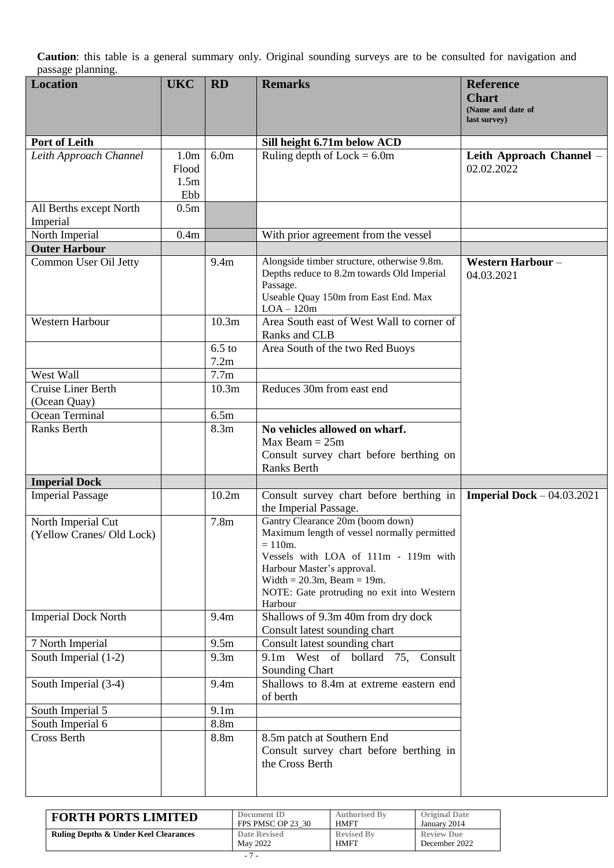| <b>Location</b>            | <b>UKC</b>       | <b>RD</b>        | <b>Remarks</b>                                                              | <b>Reference</b><br><b>Chart</b>   |
|----------------------------|------------------|------------------|-----------------------------------------------------------------------------|------------------------------------|
|                            |                  |                  |                                                                             | (Name and date of<br>last survey)  |
| Port of Leith              |                  |                  | Sill height 6.71m below ACD                                                 |                                    |
| Leith Approach Channel     | 1.0 <sub>m</sub> | 6.0 <sub>m</sub> | Ruling depth of $Lock = 6.0m$                                               | Leith Approach Channel -           |
|                            | Flood            |                  |                                                                             | 02.02.2022                         |
|                            | 1.5 <sub>m</sub> |                  |                                                                             |                                    |
|                            | Ebb              |                  |                                                                             |                                    |
| All Berths except North    | 0.5 <sub>m</sub> |                  |                                                                             |                                    |
| Imperial                   |                  |                  |                                                                             |                                    |
| North Imperial             | 0.4m             |                  | With prior agreement from the vessel                                        |                                    |
| <b>Outer Harbour</b>       |                  |                  |                                                                             |                                    |
| Common User Oil Jetty      |                  | 9.4m             | Alongside timber structure, otherwise 9.8m.                                 | <b>Western Harbour-</b>            |
|                            |                  |                  | Depths reduce to 8.2m towards Old Imperial                                  | 04.03.2021                         |
|                            |                  |                  | Passage.<br>Useable Quay 150m from East End. Max                            |                                    |
|                            |                  |                  | $LOA - 120m$                                                                |                                    |
| Western Harbour            |                  | 10.3m            | Area South east of West Wall to corner of                                   |                                    |
|                            |                  |                  | Ranks and CLB                                                               |                                    |
|                            |                  | $6.5$ to         | Area South of the two Red Buoys                                             |                                    |
|                            |                  | 7.2m             |                                                                             |                                    |
| West Wall                  |                  | 7.7 <sub>m</sub> |                                                                             |                                    |
| Cruise Liner Berth         |                  | 10.3m            | Reduces 30m from east end                                                   |                                    |
| (Ocean Quay)               |                  |                  |                                                                             |                                    |
| Ocean Terminal             |                  | 6.5m             |                                                                             |                                    |
| Ranks Berth                |                  | 8.3m             | No vehicles allowed on wharf.                                               |                                    |
|                            |                  |                  | $Max$ Beam = $25m$                                                          |                                    |
|                            |                  |                  | Consult survey chart before berthing on                                     |                                    |
| <b>Imperial Dock</b>       |                  |                  | <b>Ranks Berth</b>                                                          |                                    |
| <b>Imperial Passage</b>    |                  | 10.2m            | Consult survey chart before berthing in                                     | <b>Imperial Dock</b> $-04.03.2021$ |
|                            |                  |                  | the Imperial Passage.                                                       |                                    |
| North Imperial Cut         |                  | 7.8 <sub>m</sub> | Gantry Clearance 20m (boom down)                                            |                                    |
| (Yellow Cranes/ Old Lock)  |                  |                  | Maximum length of vessel normally permitted                                 |                                    |
|                            |                  |                  | $= 110m.$                                                                   |                                    |
|                            |                  |                  | Vessels with LOA of 111m - 119m with                                        |                                    |
|                            |                  |                  | Harbour Master's approval.                                                  |                                    |
|                            |                  |                  | Width = $20.3m$ , Beam = 19m.<br>NOTE: Gate protruding no exit into Western |                                    |
|                            |                  |                  | Harbour                                                                     |                                    |
| <b>Imperial Dock North</b> |                  | 9.4m             | Shallows of 9.3m 40m from dry dock                                          |                                    |
|                            |                  |                  | Consult latest sounding chart                                               |                                    |
| 7 North Imperial           |                  | 9.5m             | Consult latest sounding chart                                               |                                    |
| South Imperial (1-2)       |                  | 9.3 <sub>m</sub> | 9.1m West of bollard 75,<br>Consult                                         |                                    |
|                            |                  |                  | Sounding Chart                                                              |                                    |
| South Imperial (3-4)       |                  | 9.4m             | Shallows to 8.4m at extreme eastern end                                     |                                    |
|                            |                  |                  | of berth                                                                    |                                    |
| South Imperial 5           |                  | 9.1 <sub>m</sub> |                                                                             |                                    |
| South Imperial 6           |                  | 8.8m             |                                                                             |                                    |
| <b>Cross Berth</b>         |                  | 8.8m             | 8.5m patch at Southern End                                                  |                                    |
|                            |                  |                  | Consult survey chart before berthing in<br>the Cross Berth                  |                                    |
|                            |                  |                  |                                                                             |                                    |
|                            |                  |                  |                                                                             |                                    |

| <b>FORTH PORTS LIMITED</b>                       | Document ID       | <b>Authorised By</b> | <b>Original Date</b> |
|--------------------------------------------------|-------------------|----------------------|----------------------|
|                                                  | FPS PMSC OP 23 30 | <b>HMFT</b>          | January 2014         |
| <b>Ruling Depths &amp; Under Keel Clearances</b> | Date Revised      | <b>Revised By</b>    | <b>Review Due</b>    |
|                                                  | May 2022          | <b>HMFT</b>          | December 2022        |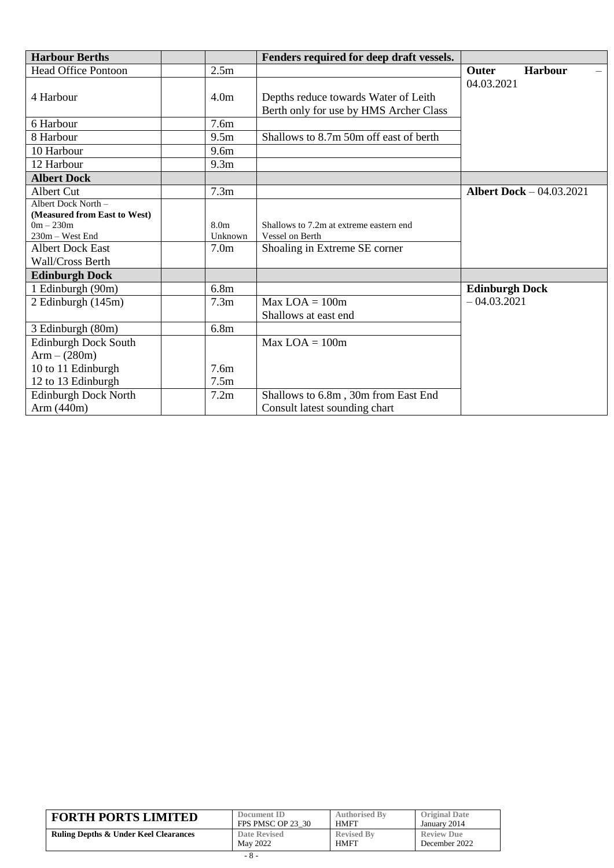| <b>Harbour Berths</b>                                                                 |                             | Fenders required for deep draft vessels.                                       |                                 |
|---------------------------------------------------------------------------------------|-----------------------------|--------------------------------------------------------------------------------|---------------------------------|
| Head Office Pontoon                                                                   | 2.5 <sub>m</sub>            |                                                                                | <b>Harbour</b><br><b>Outer</b>  |
| 4 Harbour                                                                             | 4.0 <sub>m</sub>            | Depths reduce towards Water of Leith<br>Berth only for use by HMS Archer Class | 04.03.2021                      |
| 6 Harbour                                                                             | 7.6 <sub>m</sub>            |                                                                                |                                 |
| 8 Harbour                                                                             | 9.5 <sub>m</sub>            | Shallows to 8.7m 50m off east of berth                                         |                                 |
| 10 Harbour                                                                            | 9.6 <sub>m</sub>            |                                                                                |                                 |
| 12 Harbour                                                                            | 9.3 <sub>m</sub>            |                                                                                |                                 |
| <b>Albert Dock</b>                                                                    |                             |                                                                                |                                 |
| Albert Cut                                                                            | 7.3 <sub>m</sub>            |                                                                                | <b>Albert Dock</b> - 04.03.2021 |
| Albert Dock North -<br>(Measured from East to West)<br>$0m - 230m$<br>230m - West End | 8.0 <sub>m</sub><br>Unknown | Shallows to 7.2m at extreme eastern end<br>Vessel on Berth                     |                                 |
| <b>Albert Dock East</b><br>Wall/Cross Berth                                           | 7.0 <sub>m</sub>            | Shoaling in Extreme SE corner                                                  |                                 |
| <b>Edinburgh Dock</b>                                                                 |                             |                                                                                |                                 |
| 1 Edinburgh (90m)                                                                     | 6.8 <sub>m</sub>            |                                                                                | <b>Edinburgh Dock</b>           |
| 2 Edinburgh (145m)                                                                    | 7.3 <sub>m</sub>            | $Max$ LOA = 100m<br>Shallows at east end                                       | $-04.03.2021$                   |
| 3 Edinburgh (80m)                                                                     | 6.8 <sub>m</sub>            |                                                                                |                                 |
| <b>Edinburgh Dock South</b><br>$Arm - (280m)$                                         |                             | $Max LOA = 100m$                                                               |                                 |
| 10 to 11 Edinburgh                                                                    | 7.6 <sub>m</sub>            |                                                                                |                                 |
| 12 to 13 Edinburgh                                                                    | 7.5m                        |                                                                                |                                 |
| <b>Edinburgh Dock North</b>                                                           | 7.2m                        | Shallows to 6.8m, 30m from East End                                            |                                 |
| Arm $(440m)$                                                                          |                             | Consult latest sounding chart                                                  |                                 |

| <b>FORTH PORTS LIMITED</b>                       | Document ID         | <b>Authorised By</b> | <b>Original Date</b> |
|--------------------------------------------------|---------------------|----------------------|----------------------|
|                                                  | FPS PMSC OP 23 30   | <b>HMFT</b>          | January 2014         |
| <b>Ruling Depths &amp; Under Keel Clearances</b> | <b>Date Revised</b> | <b>Revised By</b>    | <b>Review Due</b>    |
|                                                  | May 2022            | <b>HMFT</b>          | December 2022        |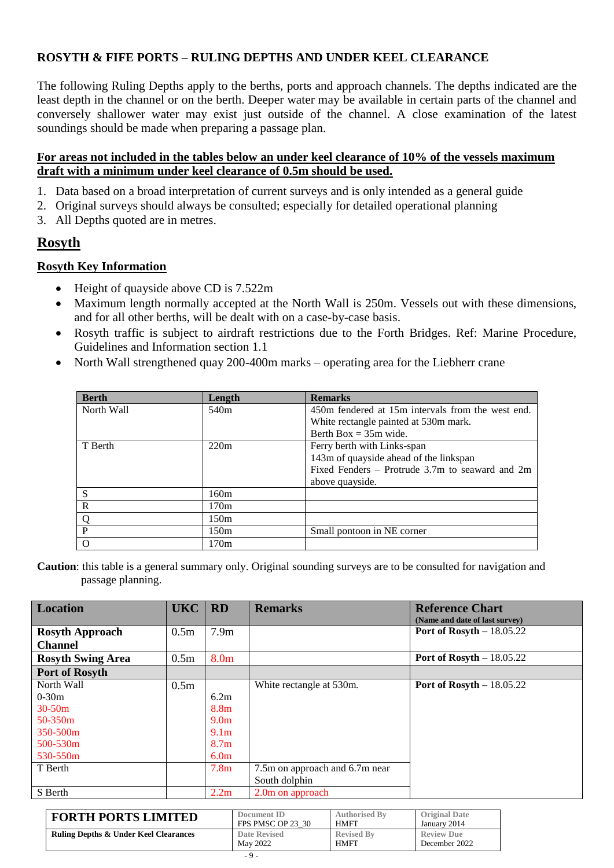### **ROSYTH & FIFE PORTS – RULING DEPTHS AND UNDER KEEL CLEARANCE**

The following Ruling Depths apply to the berths, ports and approach channels. The depths indicated are the least depth in the channel or on the berth. Deeper water may be available in certain parts of the channel and conversely shallower water may exist just outside of the channel. A close examination of the latest soundings should be made when preparing a passage plan.

### **For areas not included in the tables below an under keel clearance of 10% of the vessels maximum draft with a minimum under keel clearance of 0.5m should be used.**

- 1. Data based on a broad interpretation of current surveys and is only intended as a general guide
- 2. Original surveys should always be consulted; especially for detailed operational planning
- 3. All Depths quoted are in metres.

### **Rosyth**

#### **Rosyth Key Information**

- Height of quayside above CD is 7.522m
- Maximum length normally accepted at the North Wall is 250m. Vessels out with these dimensions, and for all other berths, will be dealt with on a case-by-case basis.
- Rosyth traffic is subject to airdraft restrictions due to the Forth Bridges. Ref: Marine Procedure, Guidelines and Information section 1.1
- North Wall strengthened quay 200-400m marks operating area for the Liebherr crane

| <b>Berth</b> | Length           | <b>Remarks</b>                                    |
|--------------|------------------|---------------------------------------------------|
| North Wall   | 540 <sub>m</sub> | 450m fendered at 15m intervals from the west end. |
|              |                  | White rectangle painted at 530m mark.             |
|              |                  | Berth Box = $35m$ wide.                           |
| T Berth      | 220m             | Ferry berth with Links-span                       |
|              |                  | 143m of quayside ahead of the linkspan            |
|              |                  | Fixed Fenders – Protrude 3.7m to seaward and 2m   |
|              |                  | above quayside.                                   |
| S            | 160m             |                                                   |
| R            | 170 <sub>m</sub> |                                                   |
|              | 150m             |                                                   |
| P            | 150 <sub>m</sub> | Small pontoon in NE corner                        |
|              | 170m             |                                                   |

| <b>Location</b>          | <b>UKC</b>       | RD               | <b>Remarks</b>                 | <b>Reference Chart</b><br>(Name and date of last survey) |
|--------------------------|------------------|------------------|--------------------------------|----------------------------------------------------------|
| <b>Rosyth Approach</b>   | 0.5 <sub>m</sub> | 7.9 <sub>m</sub> |                                | Port of Rosyth $-18.05.22$                               |
| <b>Channel</b>           |                  |                  |                                |                                                          |
| <b>Rosyth Swing Area</b> | 0.5 <sub>m</sub> | 8.0 <sub>m</sub> |                                | Port of Rosyth $-18.05.22$                               |
| Port of Rosyth           |                  |                  |                                |                                                          |
| North Wall               | 0.5 <sub>m</sub> |                  | White rectangle at 530m.       | Port of Rosyth $-18.05.22$                               |
| $0-30m$                  |                  | 6.2m             |                                |                                                          |
| $30-50m$                 |                  | 8.8m             |                                |                                                          |
| 50-350m                  |                  | 9.0 <sub>m</sub> |                                |                                                          |
| 350-500m                 |                  | 9.1 <sub>m</sub> |                                |                                                          |
| 500-530m                 |                  | 8.7 <sub>m</sub> |                                |                                                          |
| 530-550m                 |                  | 6.0 <sub>m</sub> |                                |                                                          |
| T Berth                  |                  | 7.8 <sub>m</sub> | 7.5m on approach and 6.7m near |                                                          |
|                          |                  |                  | South dolphin                  |                                                          |
| S Berth                  |                  | 2.2m             | 2.0m on approach               |                                                          |

| <b>FORTH PORTS LIMITED</b>                       | Document ID       | <b>Authorised By</b> | <b>Original Date</b> |
|--------------------------------------------------|-------------------|----------------------|----------------------|
|                                                  | FPS PMSC OP 23 30 | <b>HMFT</b>          | January 2014         |
| <b>Ruling Depths &amp; Under Keel Clearances</b> | Date Revised      | <b>Revised By</b>    | <b>Review Due</b>    |
|                                                  | May 2022          | <b>HMFT</b>          | December 2022        |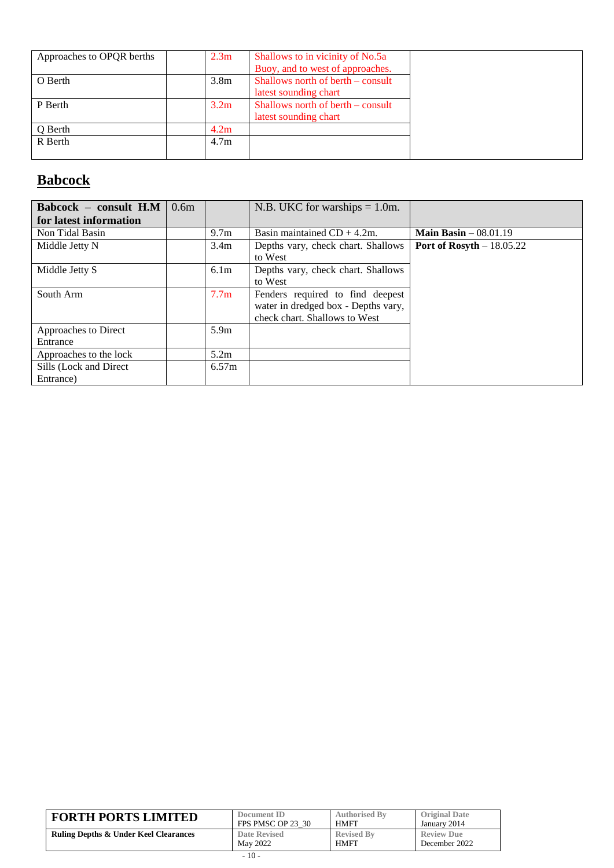| Approaches to OPQR berths | 2.3 <sub>m</sub> | Shallows to in vicinity of No.5a  |
|---------------------------|------------------|-----------------------------------|
|                           |                  | Buoy, and to west of approaches.  |
| O Berth                   | 3.8 <sub>m</sub> | Shallows north of berth – consult |
|                           |                  | latest sounding chart             |
| P Berth                   | 3.2 <sub>m</sub> | Shallows north of berth – consult |
|                           |                  | latest sounding chart             |
| Q Berth                   | 4.2m             |                                   |
| R Berth                   | 4.7 <sub>m</sub> |                                   |
|                           |                  |                                   |

# **Babcock**

| Babcock - consult H.M<br>for latest information | 0.6m |                  | N.B. UKC for warships $= 1.0$ m.                                                                         |                            |
|-------------------------------------------------|------|------------------|----------------------------------------------------------------------------------------------------------|----------------------------|
| Non Tidal Basin                                 |      | 9.7 <sub>m</sub> | Basin maintained $CD + 4.2m$ .                                                                           | Main Basin $-08.01.19$     |
| Middle Jetty N                                  |      | 3.4 <sub>m</sub> | Depths vary, check chart. Shallows<br>to West                                                            | Port of Rosyth $-18.05.22$ |
| Middle Jetty S                                  |      | 6.1 <sub>m</sub> | Depths vary, check chart. Shallows<br>to West                                                            |                            |
| South Arm                                       |      | 7.7 <sub>m</sub> | Fenders required to find deepest<br>water in dredged box - Depths vary,<br>check chart. Shallows to West |                            |
| Approaches to Direct                            |      | 5.9 <sub>m</sub> |                                                                                                          |                            |
| Entrance                                        |      |                  |                                                                                                          |                            |
| Approaches to the lock                          |      | 5.2m             |                                                                                                          |                            |
| Sills (Lock and Direct)                         |      | 6.57m            |                                                                                                          |                            |
| Entrance)                                       |      |                  |                                                                                                          |                            |

| <b>FORTH PORTS LIMITED</b>                       | Document ID         | <b>Authorised By</b> | <b>Original Date</b> |
|--------------------------------------------------|---------------------|----------------------|----------------------|
|                                                  | FPS PMSC OP 23 30   | <b>HMFT</b>          | January 2014         |
| <b>Ruling Depths &amp; Under Keel Clearances</b> | <b>Date Revised</b> | <b>Revised By</b>    | <b>Review Due</b>    |
|                                                  | May 2022            | <b>HMFT</b>          | December 2022        |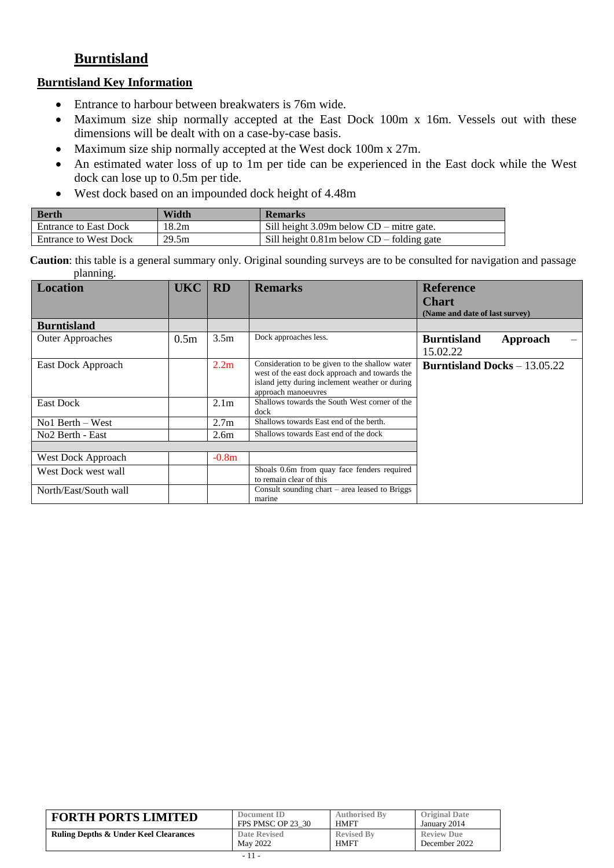### **Burntisland**

### **Burntisland Key Information**

- Entrance to harbour between breakwaters is 76m wide.
- Maximum size ship normally accepted at the East Dock 100m x 16m. Vessels out with these dimensions will be dealt with on a case-by-case basis.
- Maximum size ship normally accepted at the West dock 100m x 27m.
- An estimated water loss of up to 1m per tide can be experienced in the East dock while the West dock can lose up to 0.5m per tide.
- West dock based on an impounded dock height of 4.48m

| <b>Berth</b>                 | Width | <b>Remarks</b>                                |
|------------------------------|-------|-----------------------------------------------|
| <b>Entrance to East Dock</b> | 18.2m | Sill height $3.09m$ below $CD$ – mitre gate.  |
| <b>Entrance to West Dock</b> | 29.5m | Sill height $0.81m$ below $CD$ – folding gate |

| <b>Location</b>              | <b>UKC</b>       | <b>RD</b>        | <b>Remarks</b>                                                                                                                                                             | <b>Reference</b>                      |
|------------------------------|------------------|------------------|----------------------------------------------------------------------------------------------------------------------------------------------------------------------------|---------------------------------------|
|                              |                  |                  |                                                                                                                                                                            | <b>Chart</b>                          |
|                              |                  |                  |                                                                                                                                                                            | (Name and date of last survey)        |
| <b>Burntisland</b>           |                  |                  |                                                                                                                                                                            |                                       |
| <b>Outer Approaches</b>      | 0.5 <sub>m</sub> | 3.5 <sub>m</sub> | Dock approaches less.                                                                                                                                                      | <b>Burntisland</b><br>Approach        |
|                              |                  |                  |                                                                                                                                                                            | 15.02.22                              |
| East Dock Approach           |                  | 2.2 <sub>m</sub> | Consideration to be given to the shallow water<br>west of the east dock approach and towards the<br>island jetty during inclement weather or during<br>approach manoeuvres | <b>Burntisland Docks</b> $- 13.05.22$ |
| <b>East Dock</b>             |                  | 2.1 <sub>m</sub> | Shallows towards the South West corner of the<br>dock                                                                                                                      |                                       |
| $No1$ Berth – West           |                  | 2.7 <sub>m</sub> | Shallows towards East end of the berth.                                                                                                                                    |                                       |
| No <sub>2</sub> Berth - East |                  | 2.6 <sub>m</sub> | Shallows towards East end of the dock                                                                                                                                      |                                       |
|                              |                  |                  |                                                                                                                                                                            |                                       |
| West Dock Approach           |                  | $-0.8m$          |                                                                                                                                                                            |                                       |
| West Dock west wall          |                  |                  | Shoals 0.6m from quay face fenders required<br>to remain clear of this                                                                                                     |                                       |
| North/East/South wall        |                  |                  | Consult sounding $chart - area$ leased to Briggs<br>marine                                                                                                                 |                                       |

| <b>FORTH PORTS LIMITED</b>                       | Document ID         | <b>Authorised By</b> | <b>Original Date</b> |
|--------------------------------------------------|---------------------|----------------------|----------------------|
|                                                  | FPS PMSC OP 23 30   | <b>HMFT</b>          | January 2014         |
| <b>Ruling Depths &amp; Under Keel Clearances</b> | <b>Date Revised</b> | <b>Revised By</b>    | <b>Review Due</b>    |
|                                                  | May 2022            | <b>HMFT</b>          | December 2022        |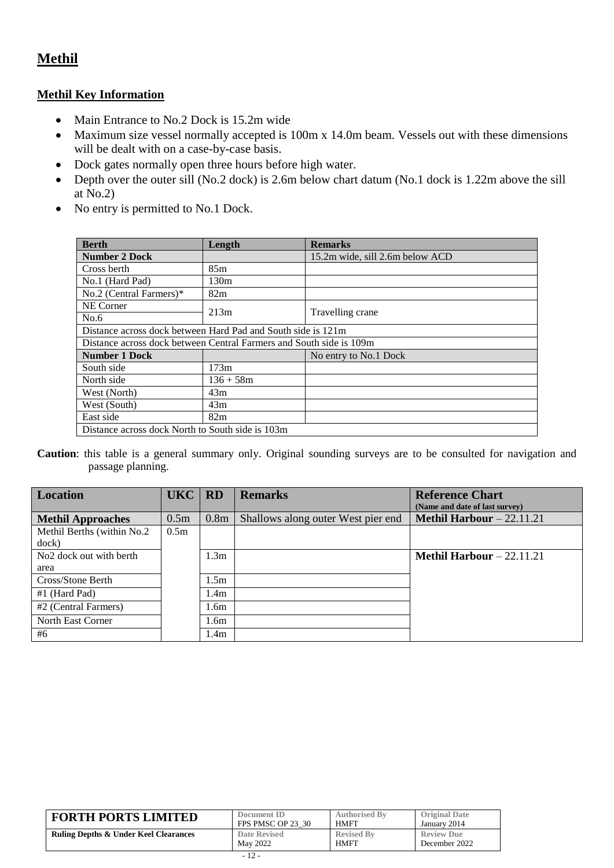### **Methil**

### **Methil Key Information**

- Main Entrance to No.2 Dock is 15.2m wide
- Maximum size vessel normally accepted is 100m x 14.0m beam. Vessels out with these dimensions will be dealt with on a case-by-case basis.
- Dock gates normally open three hours before high water.
- Depth over the outer sill (No.2 dock) is 2.6m below chart datum (No.1 dock is 1.22m above the sill at No.2)
- No entry is permitted to No.1 Dock.

| <b>Berth</b>                                                        | Length           | <b>Remarks</b>                  |  |  |
|---------------------------------------------------------------------|------------------|---------------------------------|--|--|
| <b>Number 2 Dock</b>                                                |                  | 15.2m wide, sill 2.6m below ACD |  |  |
| Cross berth                                                         | 85m              |                                 |  |  |
| No.1 (Hard Pad)                                                     | 130 <sub>m</sub> |                                 |  |  |
| No.2 (Central Farmers)*                                             | 82m              |                                 |  |  |
| NE Corner                                                           | 213m             |                                 |  |  |
| No.6                                                                |                  | Travelling crane                |  |  |
| Distance across dock between Hard Pad and South side is 121m        |                  |                                 |  |  |
| Distance across dock between Central Farmers and South side is 109m |                  |                                 |  |  |
| <b>Number 1 Dock</b>                                                |                  | No entry to No.1 Dock           |  |  |
| South side                                                          | 173m             |                                 |  |  |
| North side                                                          | $136 + 58m$      |                                 |  |  |
| West (North)                                                        | 43m              |                                 |  |  |
| West (South)                                                        | 43m              |                                 |  |  |
| East side                                                           | 82m              |                                 |  |  |
| Distance across dock North to South side is 103m                    |                  |                                 |  |  |

| <b>Location</b>                     | UKC   RD         |                  | <b>Remarks</b>                     | <b>Reference Chart</b><br>(Name and date of last survey) |
|-------------------------------------|------------------|------------------|------------------------------------|----------------------------------------------------------|
| <b>Methil Approaches</b>            | 0.5 <sub>m</sub> | 0.8 <sub>m</sub> | Shallows along outer West pier end | <b>Methil Harbour</b> $-22.11.21$                        |
| Methil Berths (within No.2          | 0.5 <sub>m</sub> |                  |                                    |                                                          |
| dock)                               |                  |                  |                                    |                                                          |
| No <sub>2</sub> dock out with berth |                  | 1.3 <sub>m</sub> |                                    | <b>Methil Harbour</b> $-22.11.21$                        |
| area                                |                  |                  |                                    |                                                          |
| Cross/Stone Berth                   |                  | 1.5 <sub>m</sub> |                                    |                                                          |
| #1 (Hard Pad)                       |                  | 1.4 <sub>m</sub> |                                    |                                                          |
| #2 (Central Farmers)                |                  | 1.6 <sub>m</sub> |                                    |                                                          |
| North East Corner                   |                  | 1.6 <sub>m</sub> |                                    |                                                          |
| #6                                  |                  | 1.4 <sub>m</sub> |                                    |                                                          |

| <b>FORTH PORTS LIMITED</b>                       | Document ID       | <b>Authorised By</b> | <b>Original Date</b> |
|--------------------------------------------------|-------------------|----------------------|----------------------|
|                                                  | FPS PMSC OP 23 30 | <b>HMFT</b>          | January 2014         |
| <b>Ruling Depths &amp; Under Keel Clearances</b> | Date Revised      | <b>Revised By</b>    | <b>Review Due</b>    |
|                                                  | May 2022          | <b>HMFT</b>          | December 2022        |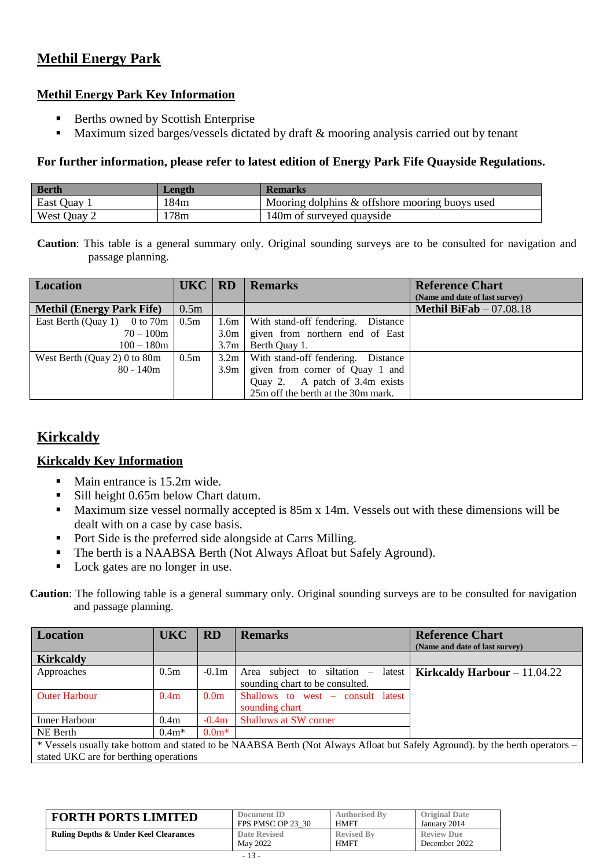### **Methil Energy Park**

### **Methil Energy Park Key Information**

- Berths owned by Scottish Enterprise
- **Maximum sized barges/vessels dictated by draft & mooring analysis carried out by tenant**

#### **For further information, please refer to latest edition of Energy Park Fife Quayside Regulations.**

| <b>Berth</b> | <b>Length</b> | <b>Remarks</b>                                 |
|--------------|---------------|------------------------------------------------|
| East Quay 1  | 184m          | Mooring dolphins & offshore mooring buoys used |
| West Quay 2  | 78m           | 140m of surveyed quayside                      |

**Caution**: This table is a general summary only. Original sounding surveys are to be consulted for navigation and passage planning.

| <b>Location</b>                           | UKC   RD         |                  | <b>Remarks</b>                            | <b>Reference Chart</b>          |
|-------------------------------------------|------------------|------------------|-------------------------------------------|---------------------------------|
|                                           |                  |                  |                                           | (Name and date of last survey)  |
| <b>Methil (Energy Park Fife)</b>          | 0.5m             |                  |                                           | <b>Methil BiFab</b> $-07.08.18$ |
| East Berth (Quay 1) 0 to 70m $\vert$ 0.5m |                  | 1.6m             | With stand-off fendering.<br>Distance     |                                 |
| $70 - 100m$                               |                  | 3.0 <sub>m</sub> | given from northern end of East           |                                 |
| $100 - 180m$                              |                  | 3.7m             | Berth Quay 1.                             |                                 |
| West Berth (Quay 2) 0 to $80m$            | 0.5 <sub>m</sub> |                  | $3.2m$ With stand-off fendering. Distance |                                 |
| $80 - 140m$                               |                  | 3.9 <sub>m</sub> | given from corner of Quay 1 and           |                                 |
|                                           |                  |                  | Quay 2. A patch of 3.4m exists            |                                 |
|                                           |                  |                  | 25m off the berth at the 30m mark.        |                                 |

### **Kirkcaldy**

### **Kirkcaldy Key Information**

- Main entrance is 15.2m wide.
- Sill height 0.65m below Chart datum.
- **Maximum size vessel normally accepted is 85m x 14m. Vessels out with these dimensions will be** dealt with on a case by case basis.
- Port Side is the preferred side alongside at Carrs Milling.
- The berth is a NAABSA Berth (Not Always Afloat but Safely Aground).
- Lock gates are no longer in use.

| <b>Location</b>                                                                                                              | <b>UKC</b>       | <b>RD</b>        | <b>Remarks</b>                      | <b>Reference Chart</b><br>(Name and date of last survey) |
|------------------------------------------------------------------------------------------------------------------------------|------------------|------------------|-------------------------------------|----------------------------------------------------------|
| <b>Kirkcaldy</b>                                                                                                             |                  |                  |                                     |                                                          |
| Approaches                                                                                                                   | 0.5 <sub>m</sub> | $-0.1m$          | Area subject to siltation – latest  | Kirkcaldy Harbour $-11.04.22$                            |
|                                                                                                                              |                  |                  | sounding chart to be consulted.     |                                                          |
| <b>Outer Harbour</b>                                                                                                         | 0.4 <sub>m</sub> | 0.0 <sub>m</sub> | Shallows to west $-$ consult latest |                                                          |
|                                                                                                                              |                  |                  | sounding chart                      |                                                          |
| Inner Harbour                                                                                                                | 0.4 <sub>m</sub> | $-0.4m$          | <b>Shallows at SW corner</b>        |                                                          |
| NE Berth                                                                                                                     | $0.4m*$          | $0.0m*$          |                                     |                                                          |
| * Vessels usually take bottom and stated to be NAABSA Berth (Not Always Afloat but Safely Aground). by the berth operators – |                  |                  |                                     |                                                          |
| stated UKC are for berthing operations                                                                                       |                  |                  |                                     |                                                          |

| <b>FORTH PORTS LIMITED</b>                       | Document ID       | <b>Authorised By</b> | <b>Original Date</b> |
|--------------------------------------------------|-------------------|----------------------|----------------------|
|                                                  | FPS PMSC OP 23 30 | <b>HMFT</b>          | January 2014         |
| <b>Ruling Depths &amp; Under Keel Clearances</b> | Date Revised      | <b>Revised By</b>    | <b>Review Due</b>    |
|                                                  | May 2022          | <b>HMFT</b>          | December 2022        |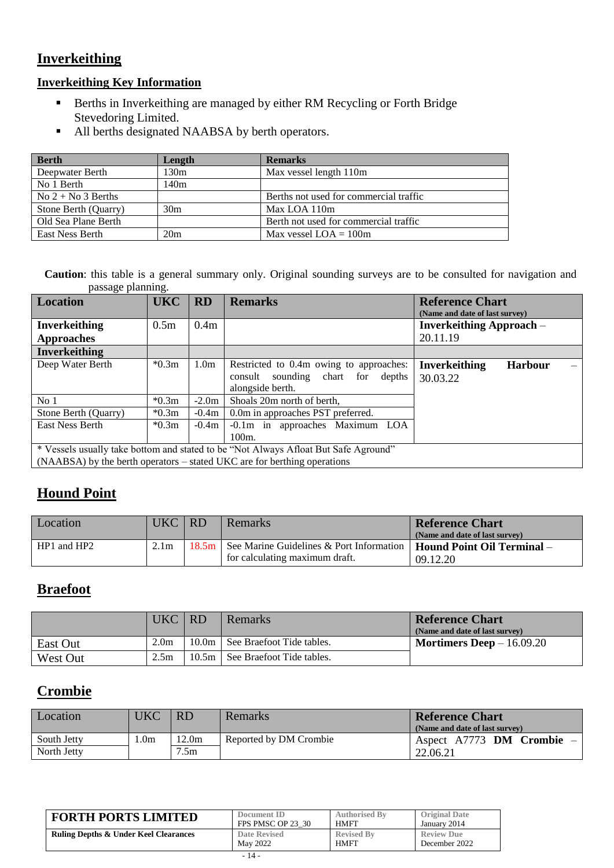### **Inverkeithing**

### **Inverkeithing Key Information**

- Berths in Inverkeithing are managed by either RM Recycling or Forth Bridge Stevedoring Limited.
- All berths designated NAABSA by berth operators.

| <b>Berth</b>           | Length          | <b>Remarks</b>                         |
|------------------------|-----------------|----------------------------------------|
| Deepwater Berth        | 130m            | Max vessel length 110m                 |
| No 1 Berth             | 140m            |                                        |
| $No 2 + No 3 Berths$   |                 | Berths not used for commercial traffic |
| Stone Berth (Quarry)   | 30 <sub>m</sub> | Max LOA 110m                           |
| Old Sea Plane Berth    |                 | Berth not used for commercial traffic  |
| <b>East Ness Berth</b> | 20m             | Max vessel $LOA = 100m$                |

**Caution**: this table is a general summary only. Original sounding surveys are to be consulted for navigation and passage planning.

| Location                                                                            | <b>UKC</b>       | <b>RD</b>        | <b>Remarks</b>                                                                                         | <b>Reference Chart</b><br>(Name and date of last survey) |
|-------------------------------------------------------------------------------------|------------------|------------------|--------------------------------------------------------------------------------------------------------|----------------------------------------------------------|
| <b>Inverkeithing</b>                                                                | 0.5 <sub>m</sub> | 0.4 <sub>m</sub> |                                                                                                        | <b>Inverkeithing Approach</b> –                          |
| <b>Approaches</b>                                                                   |                  |                  |                                                                                                        | 20.11.19                                                 |
| <b>Inverkeithing</b>                                                                |                  |                  |                                                                                                        |                                                          |
| Deep Water Berth                                                                    | $*0.3m$          | 1.0 <sub>m</sub> | Restricted to 0.4m owing to approaches:<br>sounding chart for<br>consult<br>depths<br>alongside berth. | <b>Inverkeithing</b><br><b>Harbour</b><br>30.03.22       |
| No <sub>1</sub>                                                                     | $*0.3m$          | $-2.0m$          | Shoals 20m north of berth.                                                                             |                                                          |
| Stone Berth (Quarry)                                                                | $*0.3m$          | $-0.4m$          | 0.0m in approaches PST preferred.                                                                      |                                                          |
| <b>East Ness Berth</b>                                                              | $*0.3m$          | $-0.4m$          | -0.1m in approaches Maximum LOA                                                                        |                                                          |
|                                                                                     |                  |                  | $100m$ .                                                                                               |                                                          |
| * Vessels usually take bottom and stated to be "Not Always Afloat But Safe Aground" |                  |                  |                                                                                                        |                                                          |
|                                                                                     |                  |                  | (NAABSA) by the berth operators – stated UKC are for berthing operations                               |                                                          |

### **Hound Point**

| Location    | UKC   RD         | Remarks                                          | <b>Reference Chart</b>            |
|-------------|------------------|--------------------------------------------------|-----------------------------------|
|             |                  |                                                  | (Name and date of last survey)    |
| HP1 and HP2 | 2.1 <sub>m</sub> | 18.5m   See Marine Guidelines & Port Information | <b>Hound Point Oil Terminal</b> – |
|             |                  | for calculating maximum draft.                   | 09.12.20                          |

### **Braefoot**

|          | UKC RD           | Remarks                           | <b>Reference Chart</b><br>(Name and date of last survey) |
|----------|------------------|-----------------------------------|----------------------------------------------------------|
| East Out | 2.0 <sub>m</sub> | 10.0m   See Braefoot Tide tables. | <b>Mortimers Deep</b> $- 16.09.20$                       |
| West Out | 2.5m             | 10.5m See Braefoot Tide tables.   |                                                          |

### **Crombie**

| Location    | UKC             | <b>RD</b> | Remarks                | <b>Reference Chart</b><br>(Name and date of last survey) |  |
|-------------|-----------------|-----------|------------------------|----------------------------------------------------------|--|
| South Jetty | .0 <sub>m</sub> | 12.0m     | Reported by DM Crombie | Aspect A7773 DM Crombie                                  |  |
| North Jetty |                 | 7.5m      |                        | 22.06.21                                                 |  |

| <b>FORTH PORTS LIMITED</b>                       | Document ID       | <b>Authorised By</b> | <b>Original Date</b> |
|--------------------------------------------------|-------------------|----------------------|----------------------|
|                                                  | FPS PMSC OP 23 30 | <b>HMFT</b>          | January 2014         |
| <b>Ruling Depths &amp; Under Keel Clearances</b> | Date Revised      | <b>Revised By</b>    | <b>Review Due</b>    |
|                                                  | May 2022          | <b>HMFT</b>          | December 2022        |